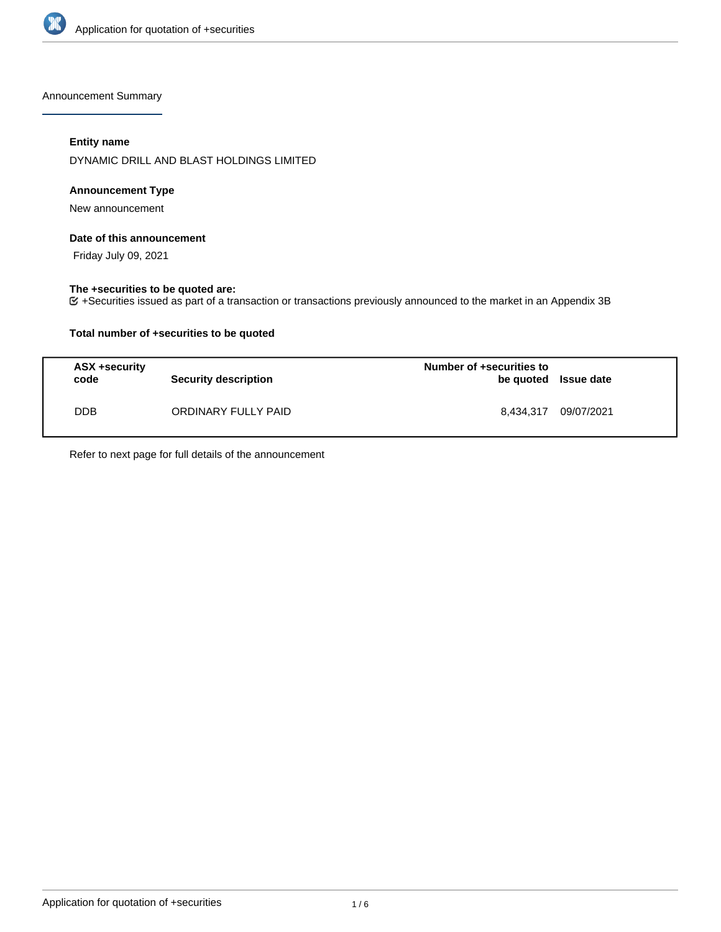

Announcement Summary

# **Entity name**

DYNAMIC DRILL AND BLAST HOLDINGS LIMITED

# **Announcement Type**

New announcement

### **Date of this announcement**

Friday July 09, 2021

### **The +securities to be quoted are:**

+Securities issued as part of a transaction or transactions previously announced to the market in an Appendix 3B

# **Total number of +securities to be quoted**

| ASX +security<br>code | <b>Security description</b> | Number of +securities to<br>be quoted Issue date |            |
|-----------------------|-----------------------------|--------------------------------------------------|------------|
| <b>DDB</b>            | ORDINARY FULLY PAID         | 8.434.317                                        | 09/07/2021 |

Refer to next page for full details of the announcement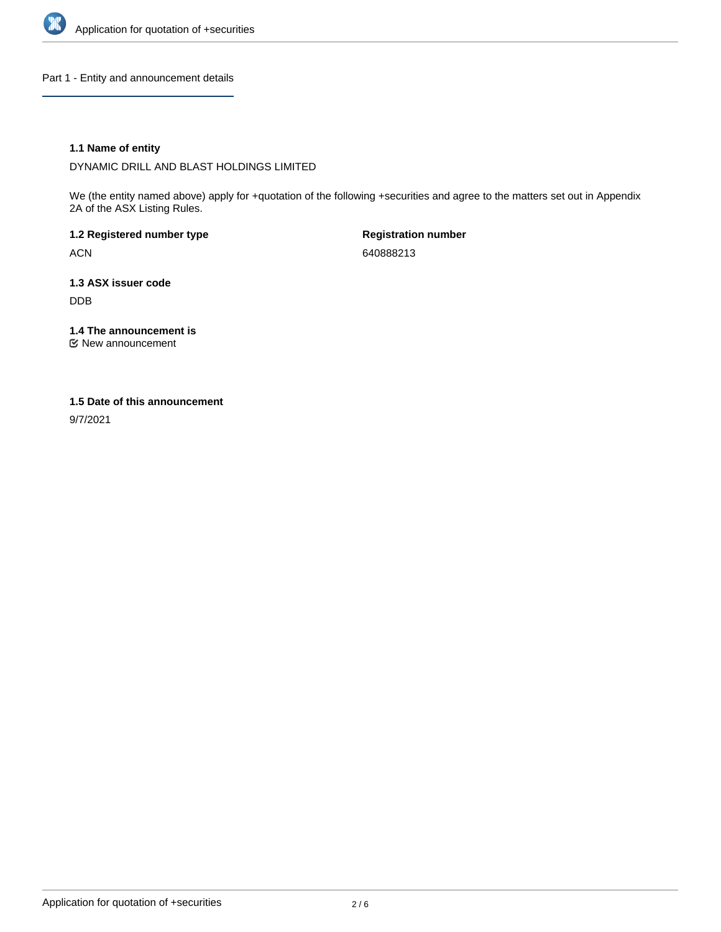

Part 1 - Entity and announcement details

# **1.1 Name of entity**

DYNAMIC DRILL AND BLAST HOLDINGS LIMITED

We (the entity named above) apply for +quotation of the following +securities and agree to the matters set out in Appendix 2A of the ASX Listing Rules.

**1.2 Registered number type** ACN

**Registration number** 640888213

**1.3 ASX issuer code** DDB

**1.4 The announcement is**

New announcement

### **1.5 Date of this announcement**

9/7/2021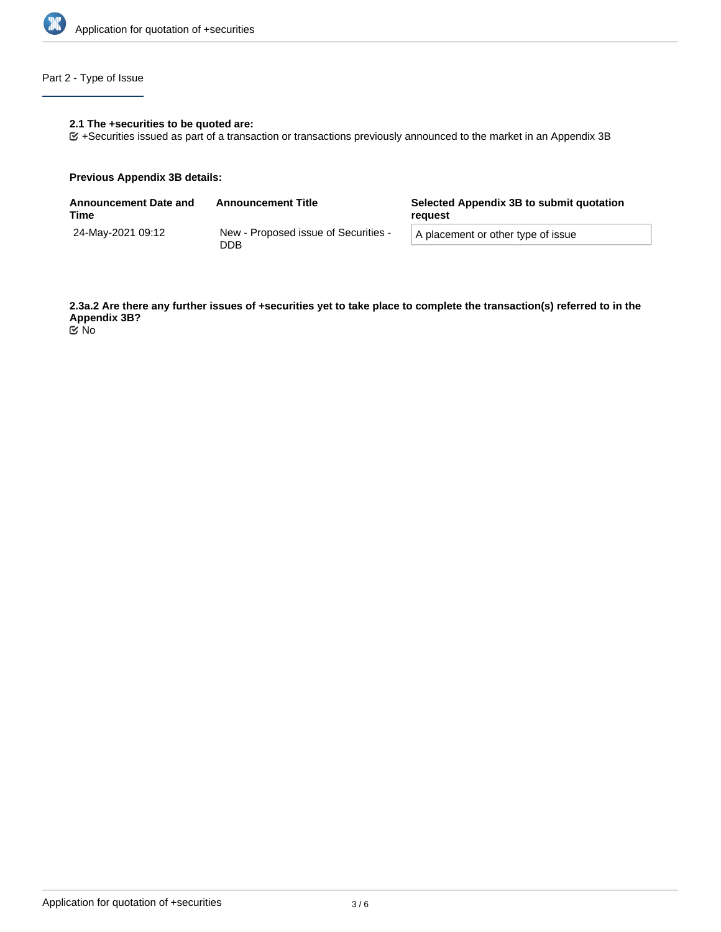

# Part 2 - Type of Issue

# **2.1 The +securities to be quoted are:**

+Securities issued as part of a transaction or transactions previously announced to the market in an Appendix 3B

### **Previous Appendix 3B details:**

| <b>Announcement Date and</b><br>Time | <b>Announcement Title</b>                   | Selected Appendix 3B to submit quotation<br>reguest |  |
|--------------------------------------|---------------------------------------------|-----------------------------------------------------|--|
| 24-May-2021 09:12                    | New - Proposed issue of Securities -<br>DDB | A placement or other type of issue                  |  |

**2.3a.2 Are there any further issues of +securities yet to take place to complete the transaction(s) referred to in the Appendix 3B?** No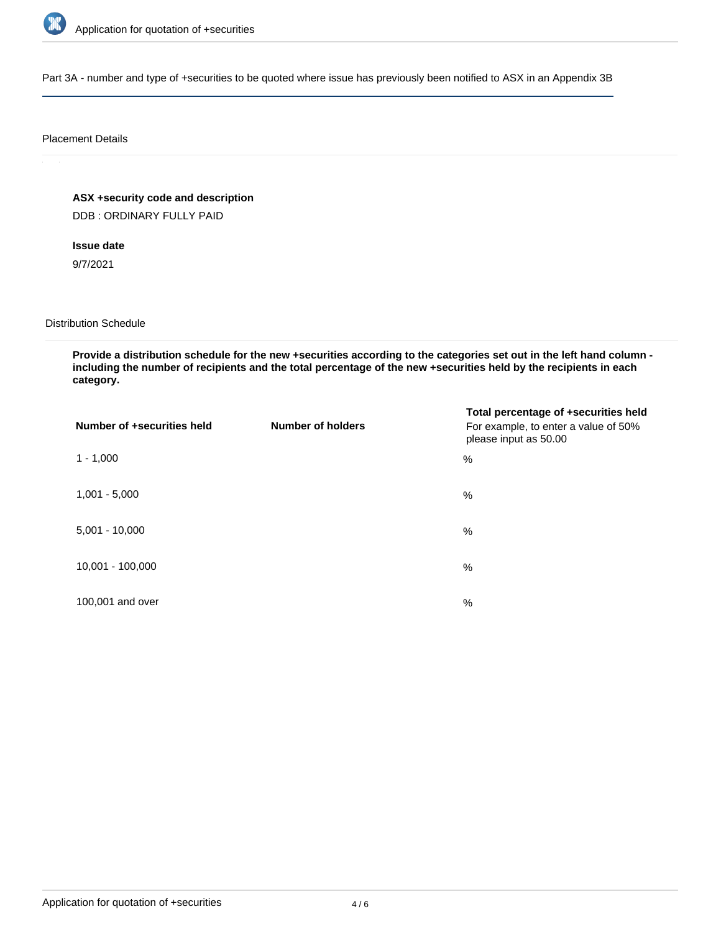

Part 3A - number and type of +securities to be quoted where issue has previously been notified to ASX in an Appendix 3B

### Placement Details

**ASX +security code and description**

DDB : ORDINARY FULLY PAID

# **Issue date**

9/7/2021

# Distribution Schedule

**Provide a distribution schedule for the new +securities according to the categories set out in the left hand column including the number of recipients and the total percentage of the new +securities held by the recipients in each category.**

| Number of +securities held | <b>Number of holders</b> | Total percentage of +securities held<br>For example, to enter a value of 50%<br>please input as 50.00 |
|----------------------------|--------------------------|-------------------------------------------------------------------------------------------------------|
| $1 - 1,000$                |                          | $\%$                                                                                                  |
| $1,001 - 5,000$            |                          | $\%$                                                                                                  |
| $5,001 - 10,000$           |                          | $\%$                                                                                                  |
| 10,001 - 100,000           |                          | $\%$                                                                                                  |
| 100,001 and over           |                          | $\%$                                                                                                  |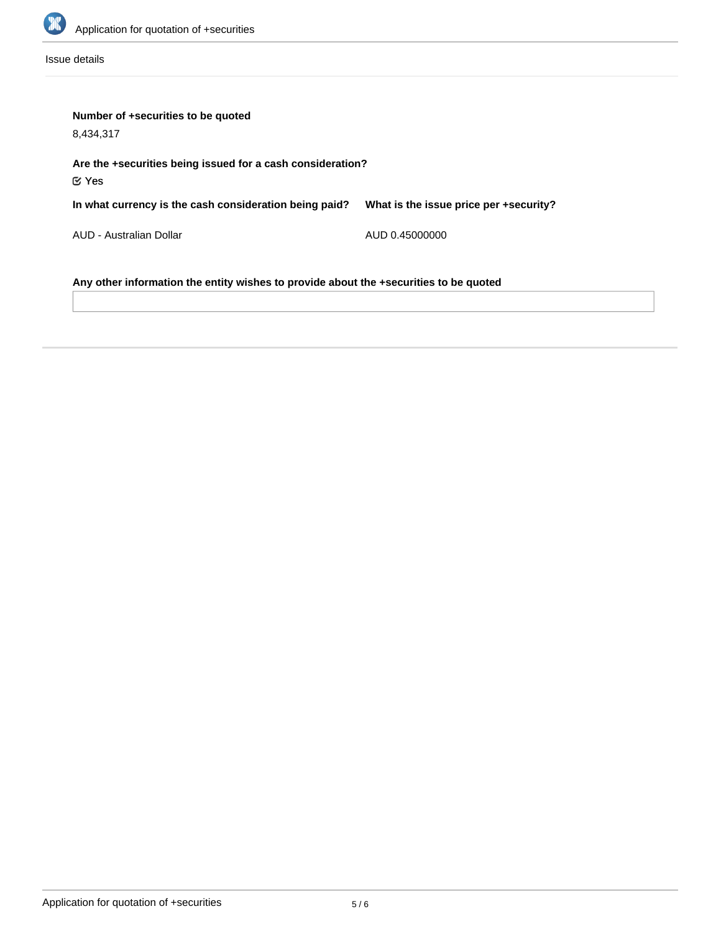

Issue details

| Number of +securities to be quoted<br>8.434.317                                       |                                        |  |  |  |
|---------------------------------------------------------------------------------------|----------------------------------------|--|--|--|
| Are the +securities being issued for a cash consideration?                            |                                        |  |  |  |
| $\mathfrak C$ Yes<br>In what currency is the cash consideration being paid?           | What is the issue price per +security? |  |  |  |
| AUD - Australian Dollar                                                               | AUD 0.45000000                         |  |  |  |
| Any other information the entity wishes to provide about the +securities to be quoted |                                        |  |  |  |